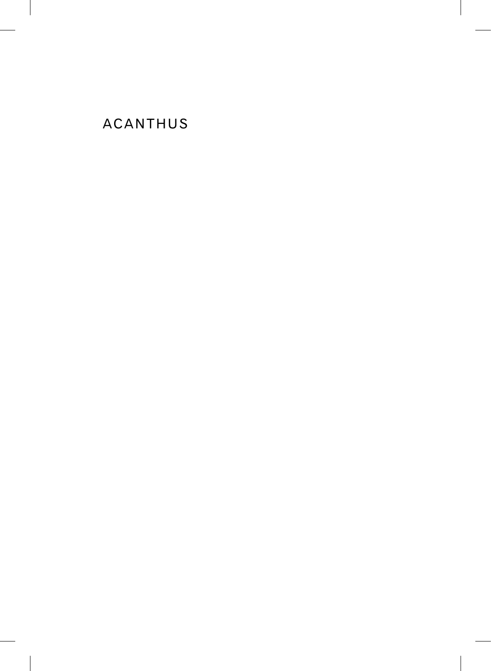# ACANTHUS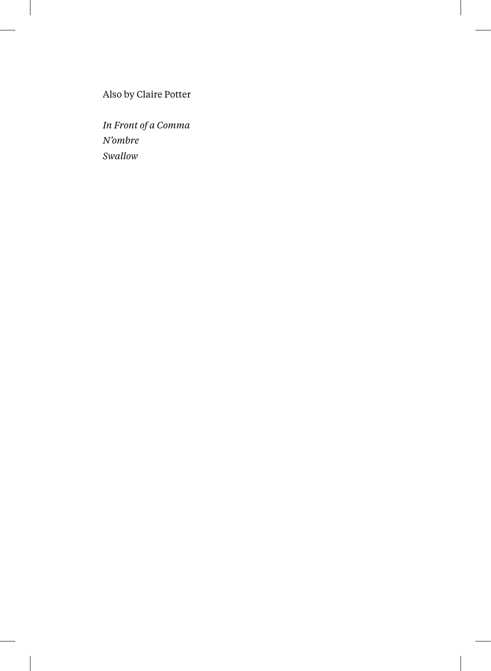Also by Claire Potter

*In Front of a Comma N'ombre Swallow*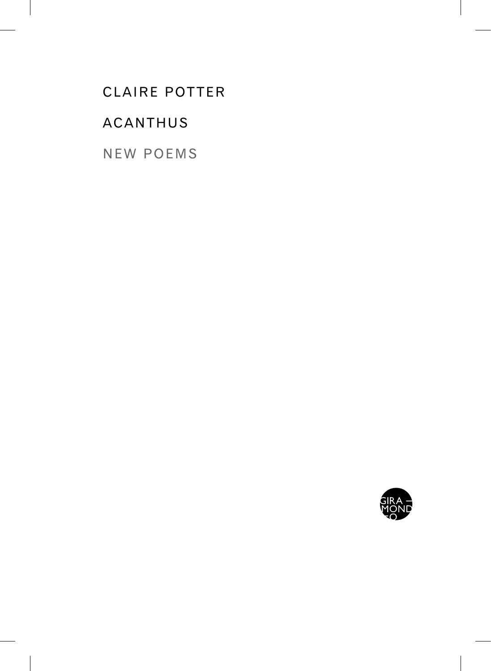# CLAIRE POTTER

## ACANTHUS

NEW POEMS

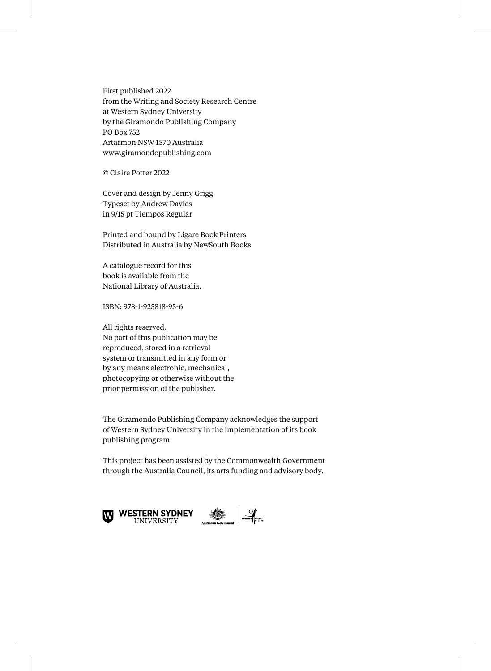First published 2022 from the Writing and Society Research Centre at Western Sydney University by the Giramondo Publishing Company PO Box 752 Artarmon NSW 1570 Australia www.giramondopublishing.com

© Claire Potter 2022

Cover and design by Jenny Grigg Typeset by Andrew Davies in 9/15 pt Tiempos Regular

Printed and bound by Ligare Book Printers Distributed in Australia by NewSouth Books

A catalogue record for this book is available from the National Library of Australia.

ISBN: 978-1-925818-95-6

All rights reserved. No part of this publication may be reproduced, stored in a retrieval system or transmitted in any form or by any means electronic, mechanical, photocopying or otherwise without the prior permission of the publisher.

The Giramondo Publishing Company acknowledges the support of Western Sydney University in the implementation of its book publishing program.

This project has been assisted by the Commonwealth Government through the Australia Council, its arts funding and advisory body.

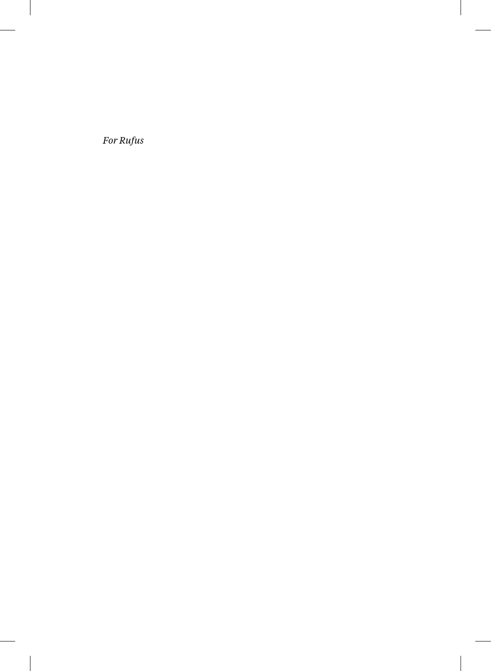For Rufus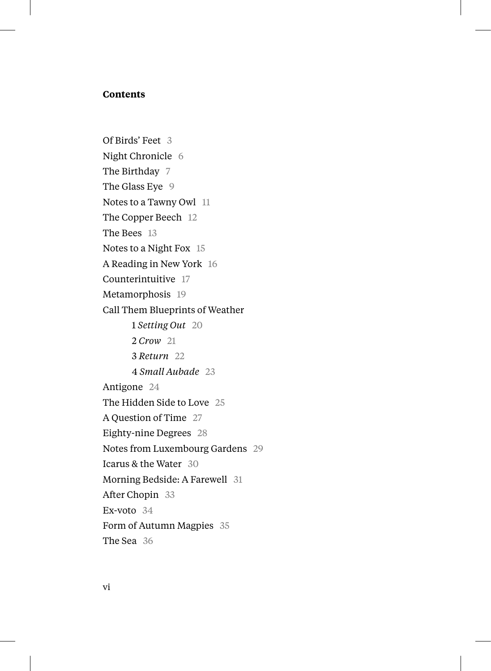### **Contents**

Of Birds' Feet 3 Night Chronicle 6 The Birthday 7 The Glass Eye 9 Notes to a Tawny Owl 11 The Copper Beech 12 The Bees 13 Notes to a Night Fox 15 A Reading in New York 16 Counterintuitive 17 Metamorphosis 19 Call Them Blueprints of Weather 1 *Setting Out* 20 2 *Crow* 21 3 *Return* 22 4 *Small Aubade* 23 Antigone 24 The Hidden Side to Love 25 A Question of Time 27 Eighty-nine Degrees 28 Notes from Luxembourg Gardens 29 Icarus & the Water 30 Morning Bedside: A Farewell 31 After Chopin 33 Ex-voto 34 Form of Autumn Magpies 35 The Sea 36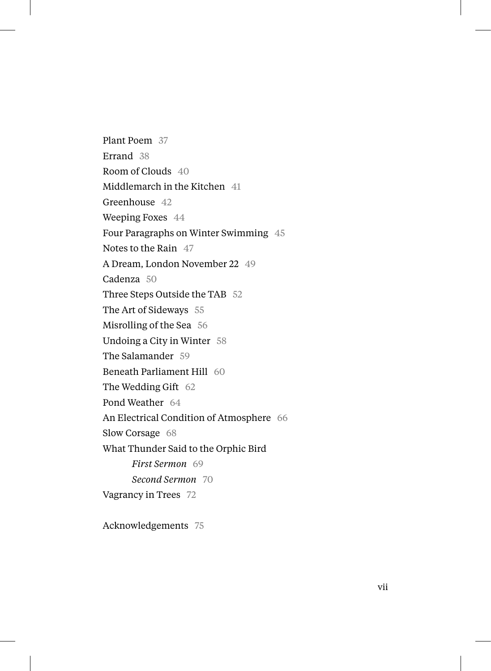Plant Poem 37 Errand 38 Room of Clouds 40 Middlemarch in the Kitchen 41 Greenhouse 42 Weeping Foxes 44 Four Paragraphs on Winter Swimming 45 Notes to the Rain 47 A Dream, London November 22 49 Cadenza 50 Three Steps Outside the TAB 52 The Art of Sideways 55 Misrolling of the Sea 56 Undoing a City in Winter 58 The Salamander 59 Beneath Parliament Hill 60 The Wedding Gift 62 Pond Weather 64 An Electrical Condition of Atmosphere 66 Slow Corsage 68 What Thunder Said to the Orphic Bird *First Sermon* 69 *Second Sermon* 70 Vagrancy in Trees 72

Acknowledgements 75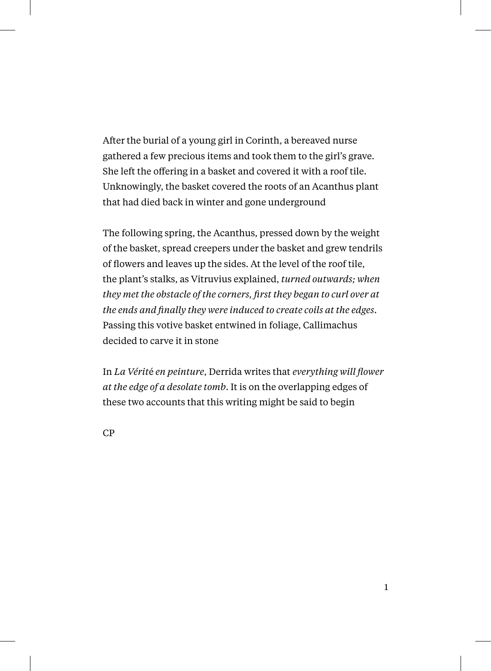After the burial of a young girl in Corinth, a bereaved nurse gathered a few precious items and took them to the girl's grave. She left the offering in a basket and covered it with a roof tile. Unknowingly, the basket covered the roots of an Acanthus plant that had died back in winter and gone underground

The following spring, the Acanthus, pressed down by the weight of the basket, spread creepers under the basket and grew tendrils of flowers and leaves up the sides. At the level of the roof tile, the plant's stalks, as Vitruvius explained, *turned outwards; when they met the obstacle of the corners, first they began to curl over at the ends and finally they were induced to create coils at the edges*. Passing this votive basket entwined in foliage, Callimachus decided to carve it in stone

In *La Vérit*é *en peinture*, Derrida writes that *everything will flower at the edge of a desolate tomb*. It is on the overlapping edges of these two accounts that this writing might be said to begin

CP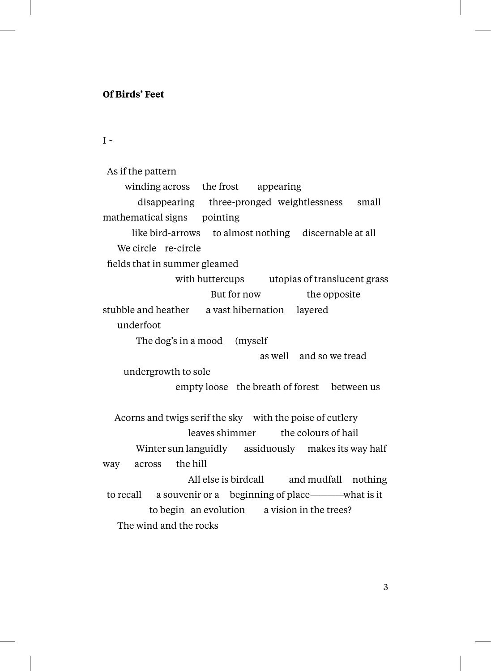### **Of Birds' Feet**

 $I \sim$ 

 As if the pattern winding across the frost appearing disappearing three-pronged weightlessness small mathematical signs pointing like bird-arrows to almost nothing discernable at all We circle re-circle fields that in summer gleamed with buttercups utopias of translucent grass But for now the opposite stubble and heather a vast hibernation layered underfoot The dog's in a mood (myself as well and so we tread undergrowth to sole empty loose the breath of forest between us Acorns and twigs serif the sky with the poise of cutlery leaves shimmer the colours of hail Winter sun languidly assiduously makes its way half way across the hill All else is birdcall and mudfall nothing to recall a souvenir or a beginning of place————what is it to begin an evolution a vision in the trees? The wind and the rocks

3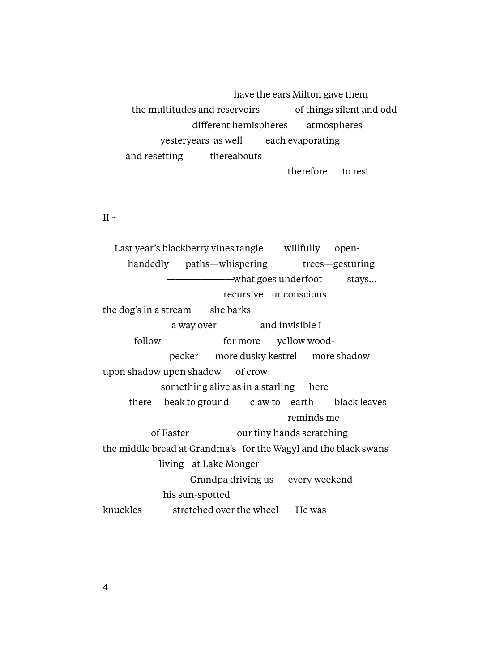have the ears Milton gave them the multitudes and reservoirs of things silent and odd different hemispheres atmospheres yesteryears as well each evaporating and resetting thereabouts

therefore to rest

#### II  $\sim$

 Last year's blackberry vines tangle willfully open handedly paths—whispering trees—gesturing ————————what goes underfoot stays… recursive unconscious the dog's in a stream she barks a way over and invisible I follow for more yellow wood pecker more dusky kestrel more shadow upon shadow upon shadow of crow something alive as in a starling here there beak to ground claw to earth black leaves reminds me of Easter our tiny hands scratching the middle bread at Grandma's for the Wagyl and the black swans living at Lake Monger Grandpa driving us every weekend his sun-spotted knuckles stretched over the wheel He was

4